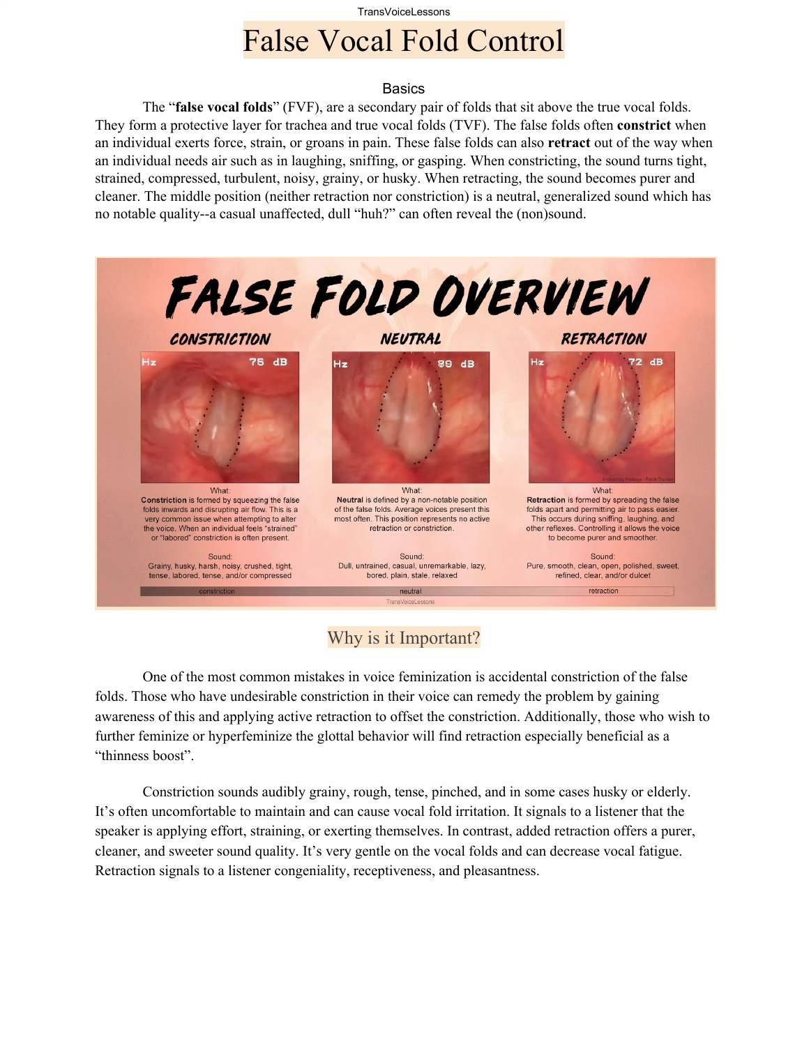# TransVoiceLessons False Vocal Fold Control

#### **Basics**

The "**false vocal folds**" (FVF), are a secondary pair of folds that sit above the true vocal folds. They form a protective layer for trachea and true vocal folds (TVF). The false folds often **constrict** when an individual exerts force, strain, or groans in pain. These false folds can also **retract** out of the way when an individual needs air such as in laughing, sniffing, or gasping. When constricting, the sound turns tight, strained, compressed, turbulent, noisy, grainy, or husky. When retracting, the sound becomes purer and cleaner. The middle position (neither retraction nor constriction) is a neutral, generalized sound which has no notable quality--a casual unaffected, dull "huh?" can often reveal the (non)sound.



## Why is it Important?

One of the most common mistakes in voice feminization is accidental constriction of the false folds. Those who have undesirable constriction in their voice can remedy the problem by gaining awareness of this and applying active retraction to offset the constriction. Additionally, those who wish to further feminize or hyperfeminize the glottal behavior will find retraction especially beneficial as a "thinness boost".

Constriction sounds audibly grainy, rough, tense, pinched, and in some cases husky or elderly. It's often uncomfortable to maintain and can cause vocal fold irritation. It signals to a listener that the speaker is applying effort, straining, or exerting themselves. In contrast, added retraction offers a purer, cleaner, and sweeter sound quality. It's very gentle on the vocal folds and can decrease vocal fatigue. Retraction signals to a listener congeniality, receptiveness, and pleasantness.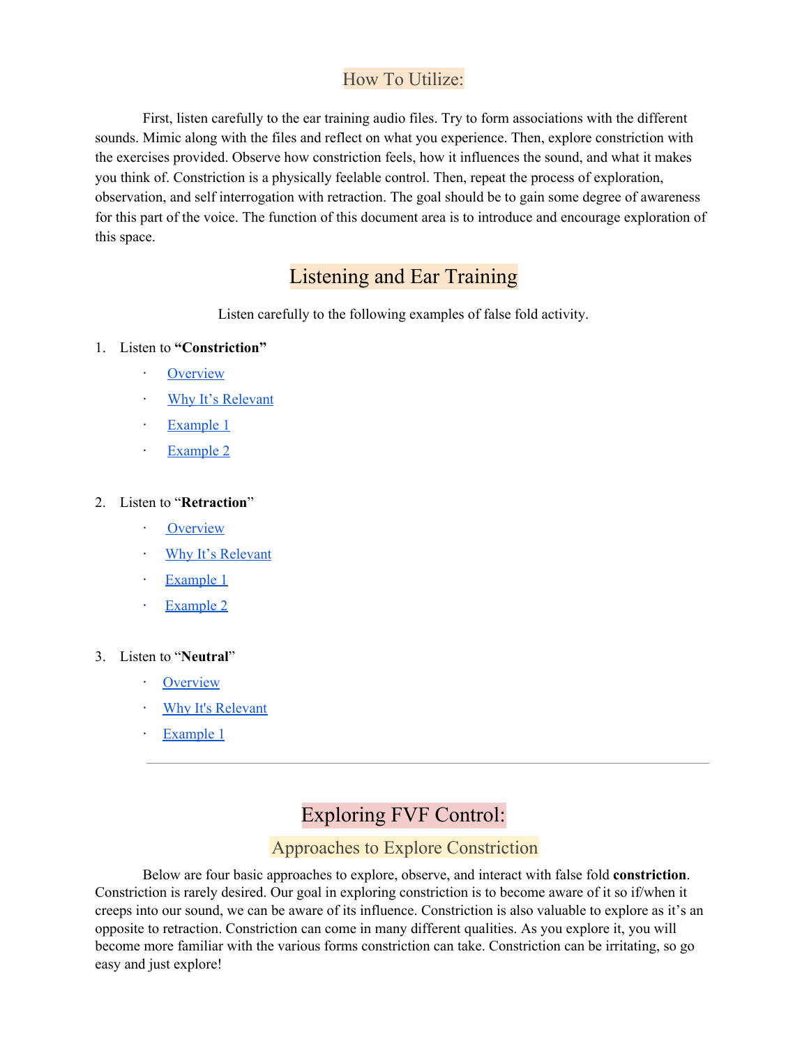## How To Utilize:

First, listen carefully to the ear training audio files. Try to form associations with the different sounds. Mimic along with the files and reflect on what you experience. Then, explore constriction with the exercises provided. Observe how constriction feels, how it influences the sound, and what it makes you think of. Constriction is a physically feelable control. Then, repeat the process of exploration, observation, and self interrogation with retraction. The goal should be to gain some degree of awareness for this part of the voice. The function of this document area is to introduce and encourage exploration of this space.

# Listening and Ear Training

Listen carefully to the following examples of false fold activity.

- 1. Listen to **"Constriction"**
	- · [Overview](https://clyp.it/3d0c4ybm)
	- · Why It's [Relevant](https://clyp.it/wjt1favq)
	- · [Example](https://clyp.it/qtk4hbko) 1
	- **[Example](https://clyp.it/ovqblkwa) 2**

#### 2. Listen to "**Retraction**"

- **[Overview](https://clyp.it/vj1ph15c)**
- · Why It's [Relevant](https://clyp.it/ct0c30yc)
- · [Example](https://clyp.it/po0xjvf5) 1
- [Example](https://clyp.it/r0fq2xnd) 2

#### 3. Listen to "**Neutral**"

- · [Overview](https://clyp.it/zoeycyue)
- Why It's [Relevant](https://clyp.it/214dbnj3)
- · [Example](https://clyp.it/alw2feqf) 1

# Exploring FVF Control:

### Approaches to Explore Constriction

Below are four basic approaches to explore, observe, and interact with false fold **constriction**. Constriction is rarely desired. Our goal in exploring constriction is to become aware of it so if/when it creeps into our sound, we can be aware of its influence. Constriction is also valuable to explore as it's an opposite to retraction. Constriction can come in many different qualities. As you explore it, you will become more familiar with the various forms constriction can take. Constriction can be irritating, so go easy and just explore!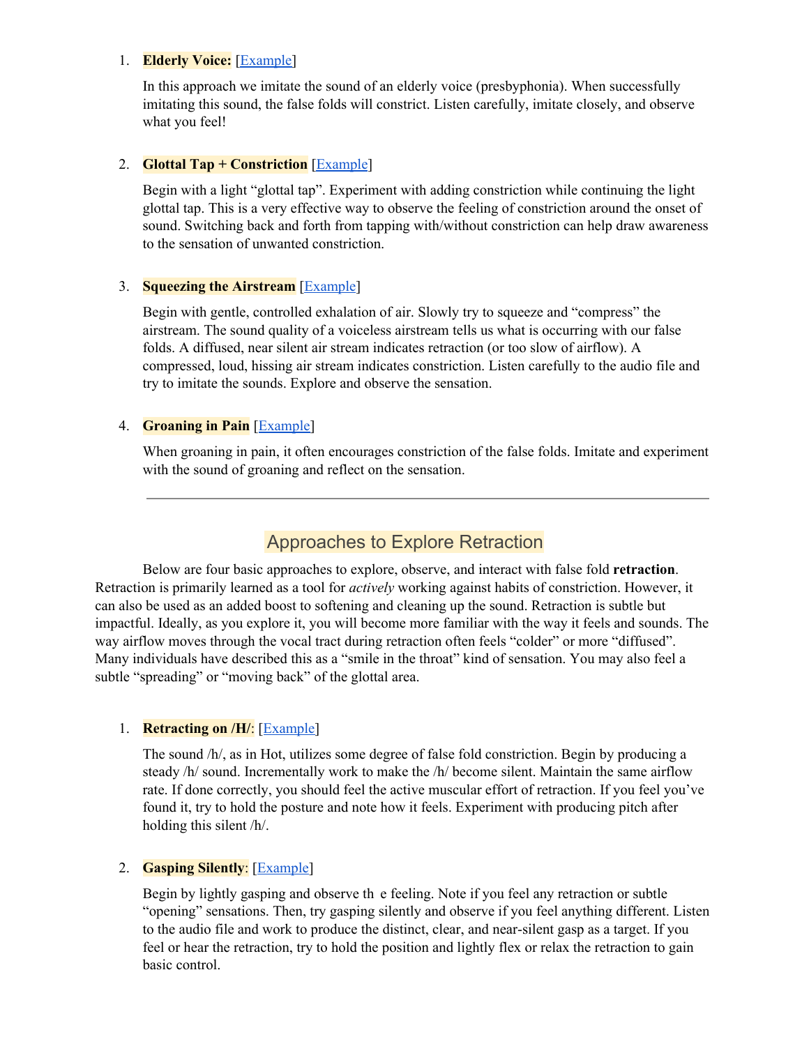#### 1. **Elderly Voice:** [[Example\]](https://clyp.it/wntvnvsc)

In this approach we imitate the sound of an elderly voice (presbyphonia). When successfully imitating this sound, the false folds will constrict. Listen carefully, imitate closely, and observe what you feel!

#### 2. **Glottal Tap + Constriction** [\[Example](https://clyp.it/3c02wqfj)]

Begin with a light "glottal tap". Experiment with adding constriction while continuing the light glottal tap. This is a very effective way to observe the feeling of constriction around the onset of sound. Switching back and forth from tapping with/without constriction can help draw awareness to the sensation of unwanted constriction.

#### 3. **Squeezing the Airstream** [\[Example](https://clyp.it/51em1s2h)]

Begin with gentle, controlled exhalation of air. Slowly try to squeeze and "compress" the airstream. The sound quality of a voiceless airstream tells us what is occurring with our false folds. A diffused, near silent air stream indicates retraction (or too slow of airflow). A compressed, loud, hissing air stream indicates constriction. Listen carefully to the audio file and try to imitate the sounds. Explore and observe the sensation.

#### 4. **Groaning in Pain** [[Example\]](https://clyp.it/peeqzaie)

When groaning in pain, it often encourages constriction of the false folds. Imitate and experiment with the sound of groaning and reflect on the sensation.

### Approaches to Explore Retraction

Below are four basic approaches to explore, observe, and interact with false fold **retraction**. Retraction is primarily learned as a tool for *actively* working against habits of constriction. However, it can also be used as an added boost to softening and cleaning up the sound. Retraction is subtle but impactful. Ideally, as you explore it, you will become more familiar with the way it feels and sounds. The way airflow moves through the vocal tract during retraction often feels "colder" or more "diffused". Many individuals have described this as a "smile in the throat" kind of sensation. You may also feel a subtle "spreading" or "moving back" of the glottal area.

#### 1. **Retracting on /H/**: [[Example](https://clyp.it/unwa0nee)]

The sound /h/, as in Hot, utilizes some degree of false fold constriction. Begin by producing a steady /h/ sound. Incrementally work to make the /h/ become silent. Maintain the same airflow rate. If done correctly, you should feel the active muscular effort of retraction. If you feel you've found it, try to hold the posture and note how it feels. Experiment with producing pitch after holding this silent /h/.

#### 2. **Gasping Silently**: [[Example\]](https://clyp.it/kazoov3o)

Begin by lightly gasping and observe th e feeling. Note if you feel any retraction or subtle "opening" sensations. Then, try gasping silently and observe if you feel anything different. Listen to the audio file and work to produce the distinct, clear, and near-silent gasp as a target. If you feel or hear the retraction, try to hold the position and lightly flex or relax the retraction to gain basic control.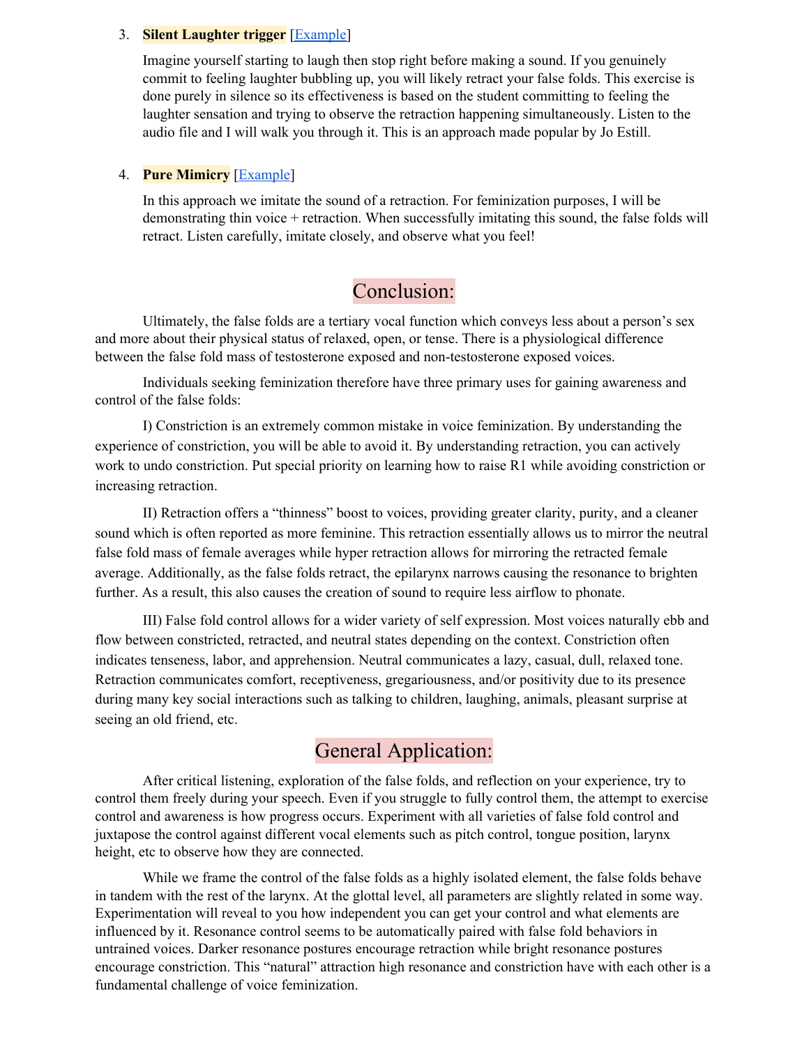#### 3. **Silent Laughter trigger** [\[Example](https://clyp.it/5x41e1he)]

Imagine yourself starting to laugh then stop right before making a sound. If you genuinely commit to feeling laughter bubbling up, you will likely retract your false folds. This exercise is done purely in silence so its effectiveness is based on the student committing to feeling the laughter sensation and trying to observe the retraction happening simultaneously. Listen to the audio file and I will walk you through it. This is an approach made popular by Jo Estill.

#### 4. **Pure Mimicry** [[Example\]](https://clyp.it/eg5twkr1)

In this approach we imitate the sound of a retraction. For feminization purposes, I will be demonstrating thin voice + retraction. When successfully imitating this sound, the false folds will retract. Listen carefully, imitate closely, and observe what you feel!

## Conclusion:

Ultimately, the false folds are a tertiary vocal function which conveys less about a person's sex and more about their physical status of relaxed, open, or tense. There is a physiological difference between the false fold mass of testosterone exposed and non-testosterone exposed voices.

Individuals seeking feminization therefore have three primary uses for gaining awareness and control of the false folds:

I) Constriction is an extremely common mistake in voice feminization. By understanding the experience of constriction, you will be able to avoid it. By understanding retraction, you can actively work to undo constriction. Put special priority on learning how to raise R1 while avoiding constriction or increasing retraction.

II) Retraction offers a "thinness" boost to voices, providing greater clarity, purity, and a cleaner sound which is often reported as more feminine. This retraction essentially allows us to mirror the neutral false fold mass of female averages while hyper retraction allows for mirroring the retracted female average. Additionally, as the false folds retract, the epilarynx narrows causing the resonance to brighten further. As a result, this also causes the creation of sound to require less airflow to phonate.

III) False fold control allows for a wider variety of self expression. Most voices naturally ebb and flow between constricted, retracted, and neutral states depending on the context. Constriction often indicates tenseness, labor, and apprehension. Neutral communicates a lazy, casual, dull, relaxed tone. Retraction communicates comfort, receptiveness, gregariousness, and/or positivity due to its presence during many key social interactions such as talking to children, laughing, animals, pleasant surprise at seeing an old friend, etc.

# General Application:

After critical listening, exploration of the false folds, and reflection on your experience, try to control them freely during your speech. Even if you struggle to fully control them, the attempt to exercise control and awareness is how progress occurs. Experiment with all varieties of false fold control and juxtapose the control against different vocal elements such as pitch control, tongue position, larynx height, etc to observe how they are connected.

While we frame the control of the false folds as a highly isolated element, the false folds behave in tandem with the rest of the larynx. At the glottal level, all parameters are slightly related in some way. Experimentation will reveal to you how independent you can get your control and what elements are influenced by it. Resonance control seems to be automatically paired with false fold behaviors in untrained voices. Darker resonance postures encourage retraction while bright resonance postures encourage constriction. This "natural" attraction high resonance and constriction have with each other is a fundamental challenge of voice feminization.